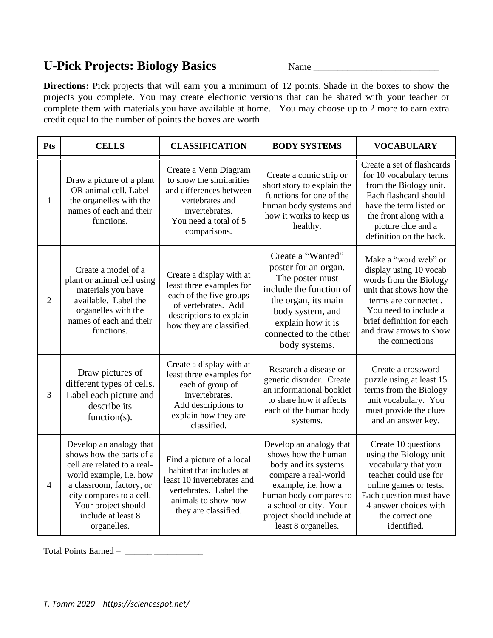## **U-Pick Projects: Biology Basics** Name \_\_\_\_\_\_\_\_\_\_\_\_\_\_\_\_\_\_\_\_\_\_\_\_\_\_

**Directions:** Pick projects that will earn you a minimum of 12 points. Shade in the boxes to show the projects you complete. You may create electronic versions that can be shared with your teacher or complete them with materials you have available at home. You may choose up to 2 more to earn extra credit equal to the number of points the boxes are worth.

| Pts            | <b>CELLS</b>                                                                                                                                                                                                                      | <b>CLASSIFICATION</b>                                                                                                                                         | <b>BODY SYSTEMS</b>                                                                                                                                                                                                           | <b>VOCABULARY</b>                                                                                                                                                                                                               |
|----------------|-----------------------------------------------------------------------------------------------------------------------------------------------------------------------------------------------------------------------------------|---------------------------------------------------------------------------------------------------------------------------------------------------------------|-------------------------------------------------------------------------------------------------------------------------------------------------------------------------------------------------------------------------------|---------------------------------------------------------------------------------------------------------------------------------------------------------------------------------------------------------------------------------|
| 1              | Draw a picture of a plant<br>OR animal cell. Label<br>the organelles with the<br>names of each and their<br>functions.                                                                                                            | Create a Venn Diagram<br>to show the similarities<br>and differences between<br>vertebrates and<br>invertebrates.<br>You need a total of 5<br>comparisons.    | Create a comic strip or<br>short story to explain the<br>functions for one of the<br>human body systems and<br>how it works to keep us<br>healthy.                                                                            | Create a set of flashcards<br>for 10 vocabulary terms<br>from the Biology unit.<br>Each flashcard should<br>have the term listed on<br>the front along with a<br>picture clue and a<br>definition on the back.                  |
| $\overline{2}$ | Create a model of a<br>plant or animal cell using<br>materials you have<br>available. Label the<br>organelles with the<br>names of each and their<br>functions.                                                                   | Create a display with at<br>least three examples for<br>each of the five groups<br>of vertebrates. Add<br>descriptions to explain<br>how they are classified. | Create a "Wanted"<br>poster for an organ.<br>The poster must<br>include the function of<br>the organ, its main<br>body system, and<br>explain how it is<br>connected to the other<br>body systems.                            | Make a "word web" or<br>display using 10 vocab<br>words from the Biology<br>unit that shows how the<br>terms are connected.<br>You need to include a<br>brief definition for each<br>and draw arrows to show<br>the connections |
| 3              | Draw pictures of<br>different types of cells.<br>Label each picture and<br>describe its<br>function( $s$ ).                                                                                                                       | Create a display with at<br>least three examples for<br>each of group of<br>invertebrates.<br>Add descriptions to<br>explain how they are<br>classified.      | Research a disease or<br>genetic disorder. Create<br>an informational booklet<br>to share how it affects<br>each of the human body<br>systems.                                                                                | Create a crossword<br>puzzle using at least 15<br>terms from the Biology<br>unit vocabulary. You<br>must provide the clues<br>and an answer key.                                                                                |
| $\overline{4}$ | Develop an analogy that<br>shows how the parts of a<br>cell are related to a real-<br>world example, i.e. how<br>a classroom, factory, or<br>city compares to a cell.<br>Your project should<br>include at least 8<br>organelles. | Find a picture of a local<br>habitat that includes at<br>least 10 invertebrates and<br>vertebrates. Label the<br>animals to show how<br>they are classified.  | Develop an analogy that<br>shows how the human<br>body and its systems<br>compare a real-world<br>example, i.e. how a<br>human body compares to<br>a school or city. Your<br>project should include at<br>least 8 organelles. | Create 10 questions<br>using the Biology unit<br>vocabulary that your<br>teacher could use for<br>online games or tests.<br>Each question must have<br>4 answer choices with<br>the correct one<br>identified.                  |

Total Points Earned =  $\frac{1}{2}$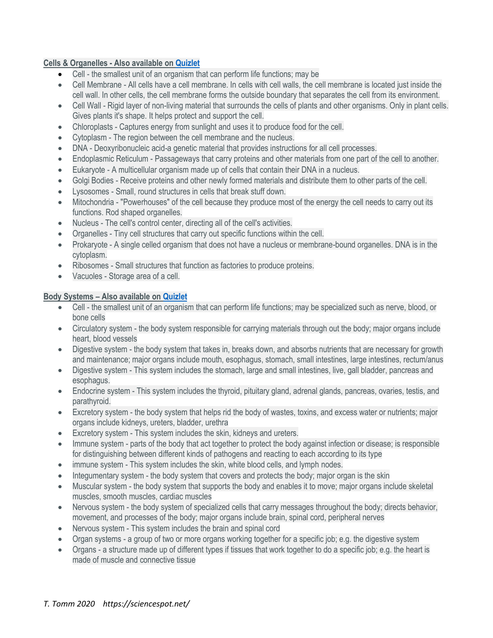## **Cells & Organelles - Also available on [Quizlet](https://quizlet.com/83024665/cells-flash-cards/)**

- Cell the smallest unit of an organism that can perform life functions; may be
- Cell Membrane All cells have a cell membrane. In cells with cell walls, the cell membrane is located just inside the cell wall. In other cells, the cell membrane forms the outside boundary that separates the cell from its environment.
- Cell Wall Rigid layer of non-living material that surrounds the cells of plants and other organisms. Only in plant cells. Gives plants it's shape. It helps protect and support the cell.
- Chloroplasts Captures energy from sunlight and uses it to produce food for the cell.
- Cytoplasm The region between the cell membrane and the nucleus.
- DNA Deoxyribonucleic acid-a genetic material that provides instructions for all cell processes.
- Endoplasmic Reticulum Passageways that carry proteins and other materials from one part of the cell to another.
- Eukaryote A multicellular organism made up of cells that contain their DNA in a nucleus.
- Golgi Bodies Receive proteins and other newly formed materials and distribute them to other parts of the cell.
- Lysosomes Small, round structures in cells that break stuff down.
- Mitochondria "Powerhouses" of the cell because they produce most of the energy the cell needs to carry out its functions. Rod shaped organelles.
- Nucleus The cell's control center, directing all of the cell's activities.
- Organelles Tiny cell structures that carry out specific functions within the cell.
- Prokaryote A single celled organism that does not have a nucleus or membrane-bound organelles. DNA is in the cytoplasm.
- Ribosomes Small structures that function as factories to produce proteins.
- Vacuoles Storage area of a cell.

## **Body Systems – Also available on [Quizlet](https://quizlet.com/167398071/human-body-systems-flash-cards/)**

- Cell the smallest unit of an organism that can perform life functions; may be specialized such as nerve, blood, or bone cells
- Circulatory system the body system responsible for carrying materials through out the body; major organs include heart, blood vessels
- Digestive system the body system that takes in, breaks down, and absorbs nutrients that are necessary for growth and maintenance; major organs include mouth, esophagus, stomach, small intestines, large intestines, rectum/anus
- Digestive system This system includes the stomach, large and small intestines, live, gall bladder, pancreas and esophagus.
- Endocrine system This system includes the thyroid, pituitary gland, adrenal glands, pancreas, ovaries, testis, and parathyroid.
- Excretory system the body system that helps rid the body of wastes, toxins, and excess water or nutrients; major organs include kidneys, ureters, bladder, urethra
- Excretory system This system includes the skin, kidneys and ureters.
- Immune system parts of the body that act together to protect the body against infection or disease; is responsible for distinguishing between different kinds of pathogens and reacting to each according to its type
- immune system This system includes the skin, white blood cells, and lymph nodes.
- Integumentary system the body system that covers and protects the body; major organ is the skin
- Muscular system the body system that supports the body and enables it to move; major organs include skeletal muscles, smooth muscles, cardiac muscles
- Nervous system the body system of specialized cells that carry messages throughout the body; directs behavior, movement, and processes of the body; major organs include brain, spinal cord, peripheral nerves
- Nervous system This system includes the brain and spinal cord
- Organ systems a group of two or more organs working together for a specific job; e.g. the digestive system
- Organs a structure made up of different types if tissues that work together to do a specific job; e.g. the heart is made of muscle and connective tissue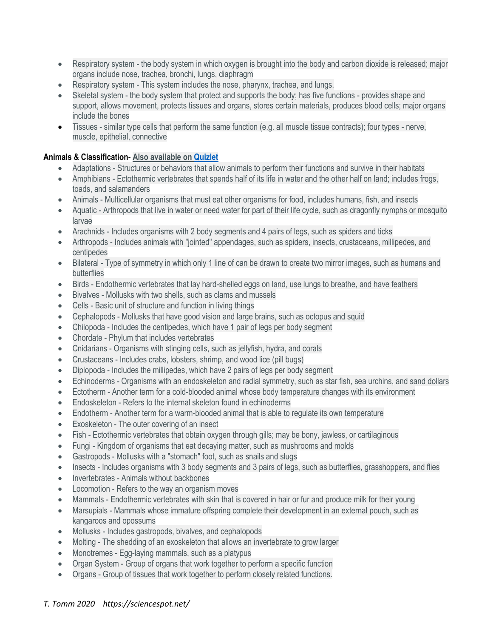- Respiratory system the body system in which oxygen is brought into the body and carbon dioxide is released; major organs include nose, trachea, bronchi, lungs, diaphragm
- Respiratory system This system includes the nose, pharynx, trachea, and lungs.
- Skeletal system the body system that protect and supports the body; has five functions provides shape and support, allows movement, protects tissues and organs, stores certain materials, produces blood cells; major organs include the bones
- Tissues similar type cells that perform the same function (e.g. all muscle tissue contracts); four types nerve, muscle, epithelial, connective

## **Animals & Classification- Also available on [Quizlet](https://quizlet.com/94527422/animal-world-flash-cards/)**

- Adaptations Structures or behaviors that allow animals to perform their functions and survive in their habitats
- Amphibians Ectothermic vertebrates that spends half of its life in water and the other half on land; includes frogs, toads, and salamanders
- Animals Multicellular organisms that must eat other organisms for food, includes humans, fish, and insects
- Aquatic Arthropods that live in water or need water for part of their life cycle, such as dragonfly nymphs or mosquito larvae
- Arachnids Includes organisms with 2 body segments and 4 pairs of legs, such as spiders and ticks
- Arthropods Includes animals with "jointed" appendages, such as spiders, insects, crustaceans, millipedes, and centipedes
- Bilateral Type of symmetry in which only 1 line of can be drawn to create two mirror images, such as humans and butterflies
- Birds Endothermic vertebrates that lay hard-shelled eggs on land, use lungs to breathe, and have feathers
- Bivalves Mollusks with two shells, such as clams and mussels
- Cells Basic unit of structure and function in living things
- Cephalopods Mollusks that have good vision and large brains, such as octopus and squid
- Chilopoda Includes the centipedes, which have 1 pair of legs per body segment
- Chordate Phylum that includes vertebrates
- Cnidarians Organisms with stinging cells, such as jellyfish, hydra, and corals
- Crustaceans Includes crabs, lobsters, shrimp, and wood lice (pill bugs)
- Diplopoda Includes the millipedes, which have 2 pairs of legs per body segment
- Echinoderms Organisms with an endoskeleton and radial symmetry, such as star fish, sea urchins, and sand dollars
- Ectotherm Another term for a cold-blooded animal whose body temperature changes with its environment
- Endoskeleton Refers to the internal skeleton found in echinoderms
- Endotherm Another term for a warm-blooded animal that is able to regulate its own temperature
- Exoskeleton The outer covering of an insect
- Fish Ectothermic vertebrates that obtain oxygen through gills; may be bony, jawless, or cartilaginous
- Fungi Kingdom of organisms that eat decaying matter, such as mushrooms and molds
- Gastropods Mollusks with a "stomach" foot, such as snails and slugs
- Insects Includes organisms with 3 body segments and 3 pairs of legs, such as butterflies, grasshoppers, and flies
- Invertebrates Animals without backbones
- Locomotion Refers to the way an organism moves
- Mammals Endothermic vertebrates with skin that is covered in hair or fur and produce milk for their young
- Marsupials Mammals whose immature offspring complete their development in an external pouch, such as kangaroos and opossums
- Mollusks Includes gastropods, bivalves, and cephalopods
- Molting The shedding of an exoskeleton that allows an invertebrate to grow larger
- Monotremes Egg-laying mammals, such as a platypus
- Organ System Group of organs that work together to perform a specific function
- Organs Group of tissues that work together to perform closely related functions.